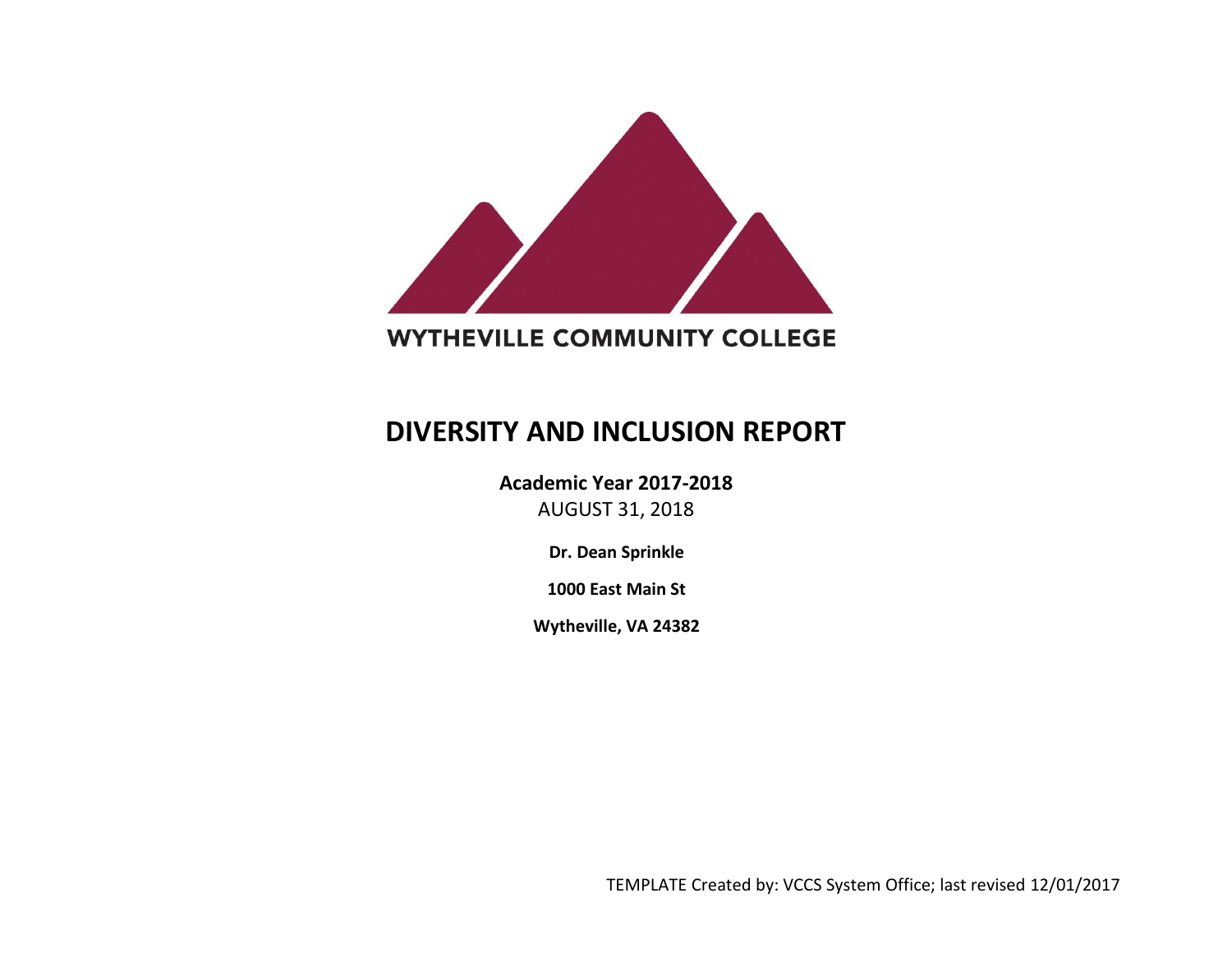

# **WYTHEVILLE COMMUNITY COLLEGE**

# **DIVERSITY AND INCLUSION REPORT**

**Academic Year 2017-2018** AUGUST 31, 2018

**Dr. Dean Sprinkle**

**1000 East Main St**

**Wytheville, VA 24382**

TEMPLATE Created by: VCCS System Office; last revised 12/01/2017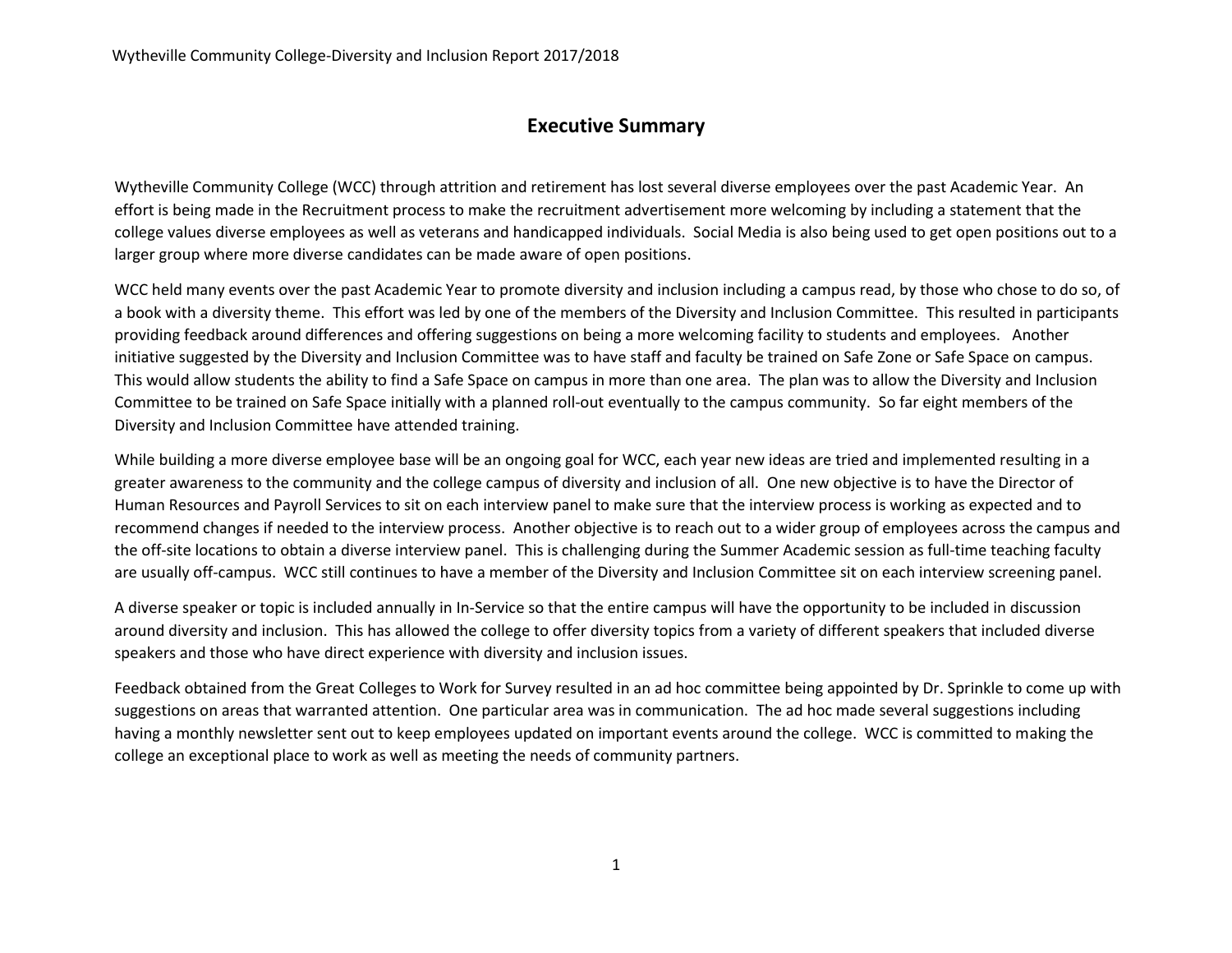### **Executive Summary**

Wytheville Community College (WCC) through attrition and retirement has lost several diverse employees over the past Academic Year. An effort is being made in the Recruitment process to make the recruitment advertisement more welcoming by including a statement that the college values diverse employees as well as veterans and handicapped individuals. Social Media is also being used to get open positions out to a larger group where more diverse candidates can be made aware of open positions.

WCC held many events over the past Academic Year to promote diversity and inclusion including a campus read, by those who chose to do so, of a book with a diversity theme. This effort was led by one of the members of the Diversity and Inclusion Committee. This resulted in participants providing feedback around differences and offering suggestions on being a more welcoming facility to students and employees. Another initiative suggested by the Diversity and Inclusion Committee was to have staff and faculty be trained on Safe Zone or Safe Space on campus. This would allow students the ability to find a Safe Space on campus in more than one area. The plan was to allow the Diversity and Inclusion Committee to be trained on Safe Space initially with a planned roll-out eventually to the campus community. So far eight members of the Diversity and Inclusion Committee have attended training.

While building a more diverse employee base will be an ongoing goal for WCC, each year new ideas are tried and implemented resulting in a greater awareness to the community and the college campus of diversity and inclusion of all. One new objective is to have the Director of Human Resources and Payroll Services to sit on each interview panel to make sure that the interview process is working as expected and to recommend changes if needed to the interview process. Another objective is to reach out to a wider group of employees across the campus and the off-site locations to obtain a diverse interview panel. This is challenging during the Summer Academic session as full-time teaching faculty are usually off-campus. WCC still continues to have a member of the Diversity and Inclusion Committee sit on each interview screening panel.

A diverse speaker or topic is included annually in In-Service so that the entire campus will have the opportunity to be included in discussion around diversity and inclusion. This has allowed the college to offer diversity topics from a variety of different speakers that included diverse speakers and those who have direct experience with diversity and inclusion issues.

Feedback obtained from the Great Colleges to Work for Survey resulted in an ad hoc committee being appointed by Dr. Sprinkle to come up with suggestions on areas that warranted attention. One particular area was in communication. The ad hoc made several suggestions including having a monthly newsletter sent out to keep employees updated on important events around the college. WCC is committed to making the college an exceptional place to work as well as meeting the needs of community partners.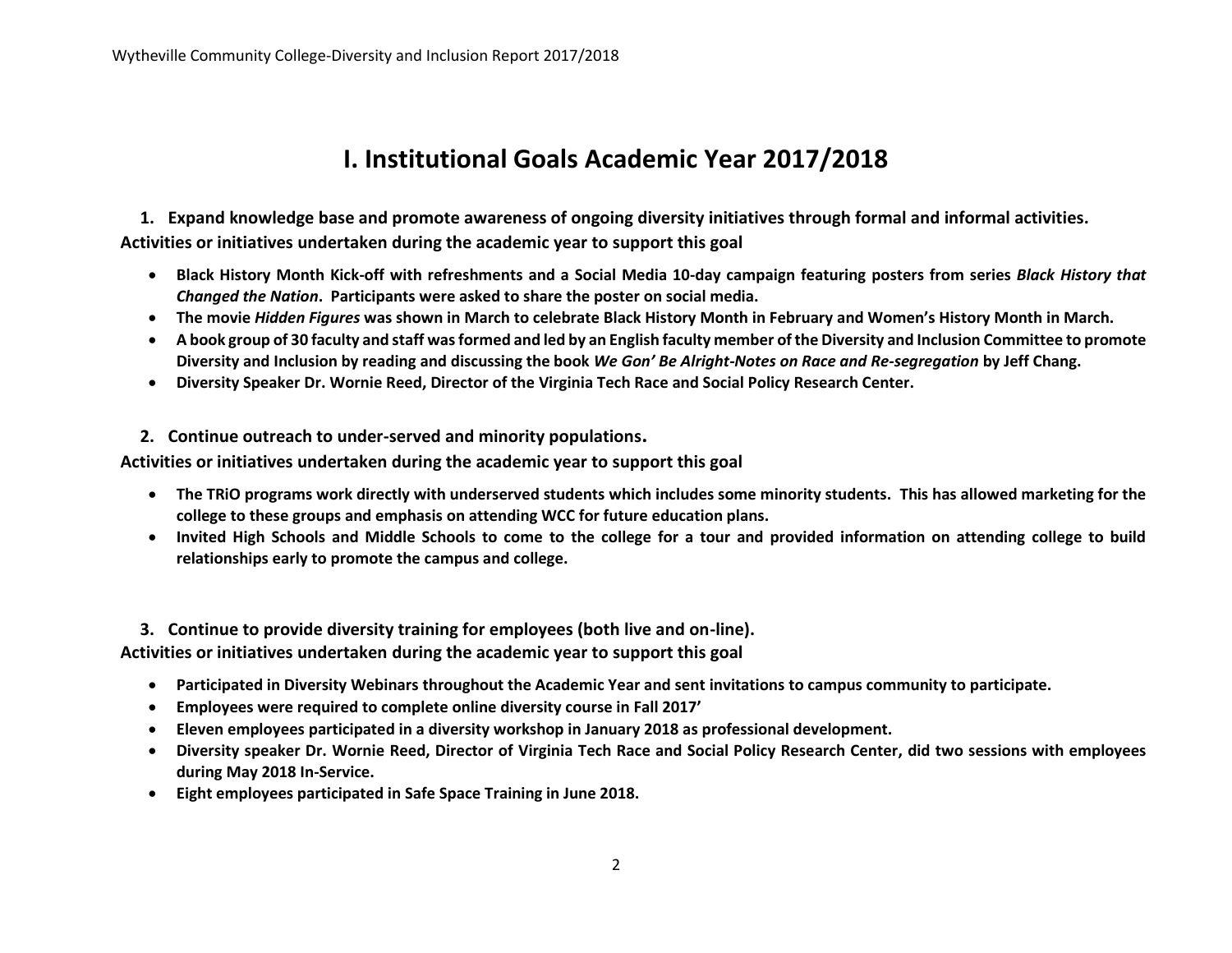# **I. Institutional Goals Academic Year 2017/2018**

**1. Expand knowledge base and promote awareness of ongoing diversity initiatives through formal and informal activities. Activities or initiatives undertaken during the academic year to support this goal**

- **Black History Month Kick-off with refreshments and a Social Media 10-day campaign featuring posters from series** *Black History that Changed the Nation***. Participants were asked to share the poster on social media.**
- **The movie** *Hidden Figures* **was shown in March to celebrate Black History Month in February and Women's History Month in March.**
- **A book group of 30 faculty and staff was formed and led by an English faculty member of the Diversity and Inclusion Committee to promote Diversity and Inclusion by reading and discussing the book** *We Gon' Be Alright-Notes on Race and Re-segregation* **by Jeff Chang.**
- **Diversity Speaker Dr. Wornie Reed, Director of the Virginia Tech Race and Social Policy Research Center.**
- **2. Continue outreach to under-served and minority populations.**

**Activities or initiatives undertaken during the academic year to support this goal**

- **The TRiO programs work directly with underserved students which includes some minority students. This has allowed marketing for the college to these groups and emphasis on attending WCC for future education plans.**
- **Invited High Schools and Middle Schools to come to the college for a tour and provided information on attending college to build relationships early to promote the campus and college.**

**3. Continue to provide diversity training for employees (both live and on-line).**

**Activities or initiatives undertaken during the academic year to support this goal**

- **Participated in Diversity Webinars throughout the Academic Year and sent invitations to campus community to participate.**
- **Employees were required to complete online diversity course in Fall 2017'**
- **Eleven employees participated in a diversity workshop in January 2018 as professional development.**
- **Diversity speaker Dr. Wornie Reed, Director of Virginia Tech Race and Social Policy Research Center, did two sessions with employees during May 2018 In-Service.**
- **Eight employees participated in Safe Space Training in June 2018.**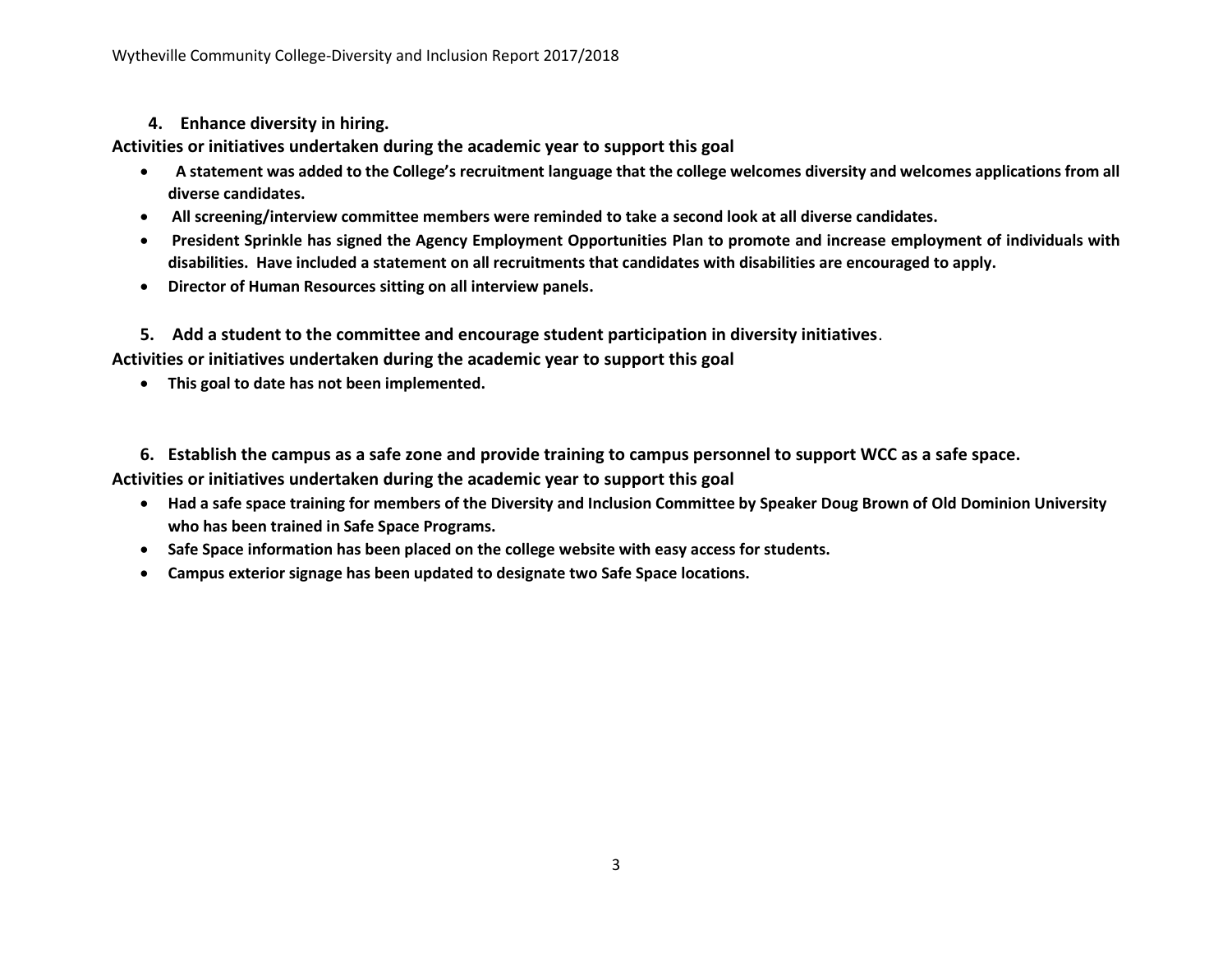#### **4. Enhance diversity in hiring.**

**Activities or initiatives undertaken during the academic year to support this goal**

- **A statement was added to the College's recruitment language that the college welcomes diversity and welcomes applications from all diverse candidates.**
- **All screening/interview committee members were reminded to take a second look at all diverse candidates.**
- **President Sprinkle has signed the Agency Employment Opportunities Plan to promote and increase employment of individuals with disabilities. Have included a statement on all recruitments that candidates with disabilities are encouraged to apply.**
- **Director of Human Resources sitting on all interview panels.**
- **5. Add a student to the committee and encourage student participation in diversity initiatives**.

**Activities or initiatives undertaken during the academic year to support this goal**

**This goal to date has not been implemented.** 

**6. Establish the campus as a safe zone and provide training to campus personnel to support WCC as a safe space.**

**Activities or initiatives undertaken during the academic year to support this goal**

- **Had a safe space training for members of the Diversity and Inclusion Committee by Speaker Doug Brown of Old Dominion University who has been trained in Safe Space Programs.**
- **Safe Space information has been placed on the college website with easy access for students.**
- **Campus exterior signage has been updated to designate two Safe Space locations.**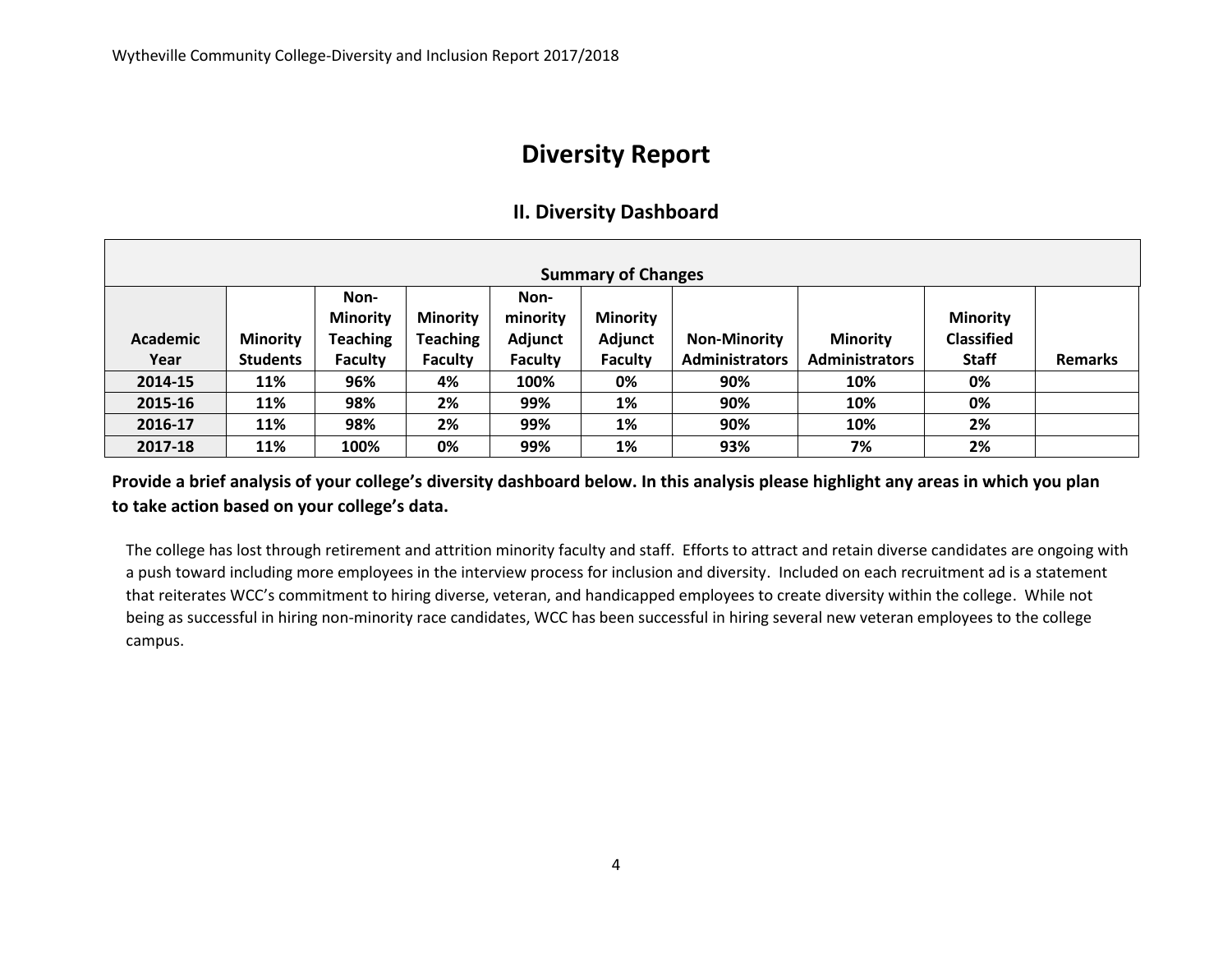# **Diversity Report**

# **II. Diversity Dashboard**

| <b>Summary of Changes</b> |                                    |                                                              |                                                      |                                               |                                              |                                              |                                          |                                                      |                |
|---------------------------|------------------------------------|--------------------------------------------------------------|------------------------------------------------------|-----------------------------------------------|----------------------------------------------|----------------------------------------------|------------------------------------------|------------------------------------------------------|----------------|
| Academic<br>Year          | <b>Minority</b><br><b>Students</b> | Non-<br><b>Minority</b><br><b>Teaching</b><br><b>Faculty</b> | <b>Minority</b><br><b>Teaching</b><br><b>Faculty</b> | Non-<br>minority<br>Adjunct<br><b>Faculty</b> | <b>Minority</b><br>Adjunct<br><b>Faculty</b> | <b>Non-Minority</b><br><b>Administrators</b> | <b>Minority</b><br><b>Administrators</b> | <b>Minority</b><br><b>Classified</b><br><b>Staff</b> | <b>Remarks</b> |
| 2014-15                   | 11%                                | 96%                                                          | 4%                                                   | 100%                                          | 0%                                           | 90%                                          | 10%                                      | 0%                                                   |                |
| 2015-16                   | 11%                                | 98%                                                          | 2%                                                   | 99%                                           | 1%                                           | 90%                                          | 10%                                      | 0%                                                   |                |
| 2016-17                   | 11%                                | 98%                                                          | 2%                                                   | 99%                                           | 1%                                           | 90%                                          | 10%                                      | 2%                                                   |                |
| 2017-18                   | 11%                                | 100%                                                         | 0%                                                   | 99%                                           | 1%                                           | 93%                                          | 7%                                       | 2%                                                   |                |

**Provide a brief analysis of your college's diversity dashboard below. In this analysis please highlight any areas in which you plan to take action based on your college's data.** 

The college has lost through retirement and attrition minority faculty and staff. Efforts to attract and retain diverse candidates are ongoing with a push toward including more employees in the interview process for inclusion and diversity. Included on each recruitment ad is a statement that reiterates WCC's commitment to hiring diverse, veteran, and handicapped employees to create diversity within the college. While not being as successful in hiring non-minority race candidates, WCC has been successful in hiring several new veteran employees to the college campus.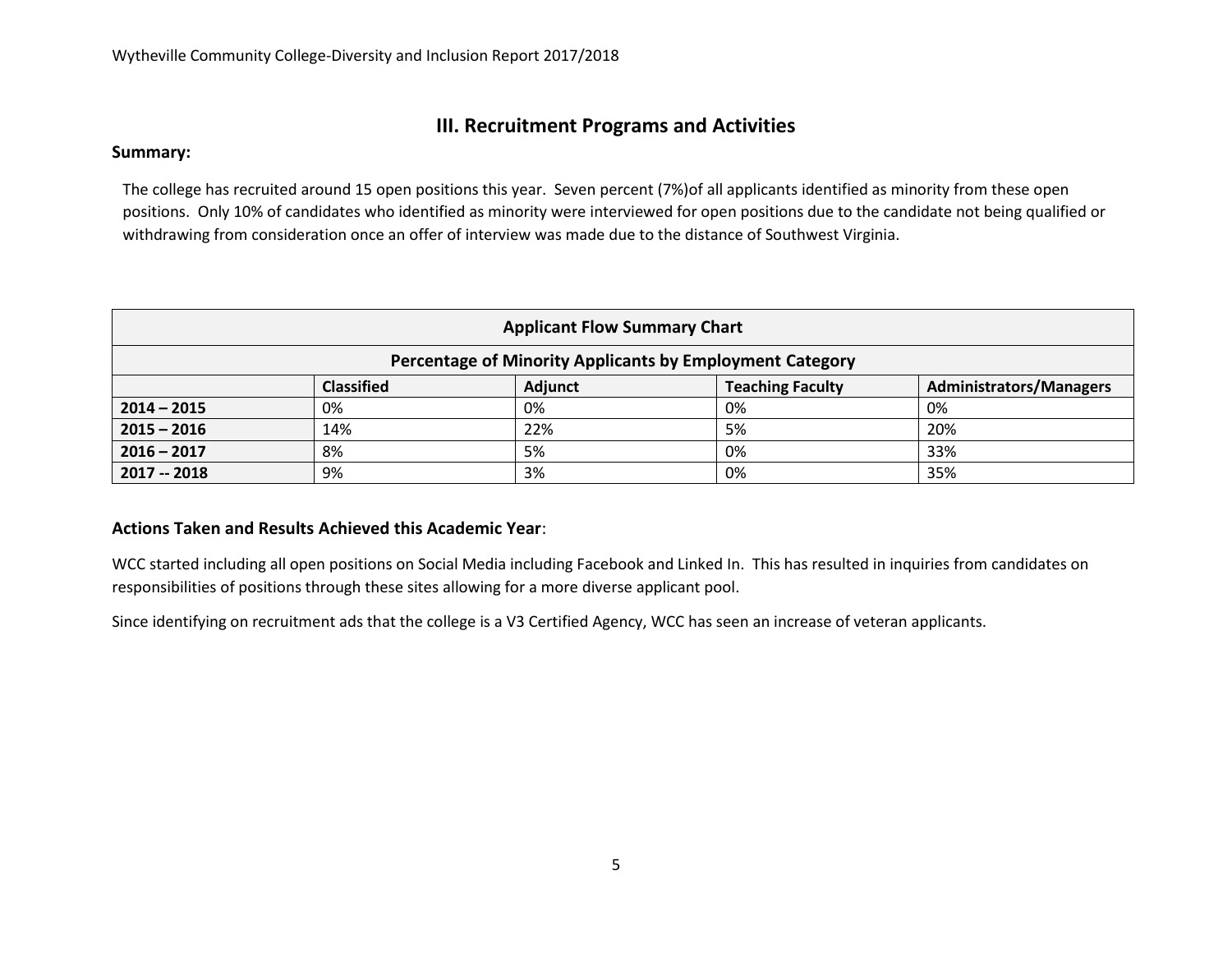# **III. Recruitment Programs and Activities**

#### **Summary:**

The college has recruited around 15 open positions this year. Seven percent (7%)of all applicants identified as minority from these open positions. Only 10% of candidates who identified as minority were interviewed for open positions due to the candidate not being qualified or withdrawing from consideration once an offer of interview was made due to the distance of Southwest Virginia.

| <b>Applicant Flow Summary Chart</b>                      |                   |                |                         |                                |  |  |  |
|----------------------------------------------------------|-------------------|----------------|-------------------------|--------------------------------|--|--|--|
| Percentage of Minority Applicants by Employment Category |                   |                |                         |                                |  |  |  |
|                                                          | <b>Classified</b> | <b>Adjunct</b> | <b>Teaching Faculty</b> | <b>Administrators/Managers</b> |  |  |  |
| $2014 - 2015$                                            | 0%                | 0%             | 0%                      | 0%                             |  |  |  |
| $2015 - 2016$                                            | 14%               | 22%            | 5%                      | 20%                            |  |  |  |
| $2016 - 2017$                                            | 8%                | 5%             | 0%                      | 33%                            |  |  |  |
| $2017 - 2018$                                            | 9%                | 3%             | 0%                      | 35%                            |  |  |  |

#### **Actions Taken and Results Achieved this Academic Year**:

WCC started including all open positions on Social Media including Facebook and Linked In. This has resulted in inquiries from candidates on responsibilities of positions through these sites allowing for a more diverse applicant pool.

Since identifying on recruitment ads that the college is a V3 Certified Agency, WCC has seen an increase of veteran applicants.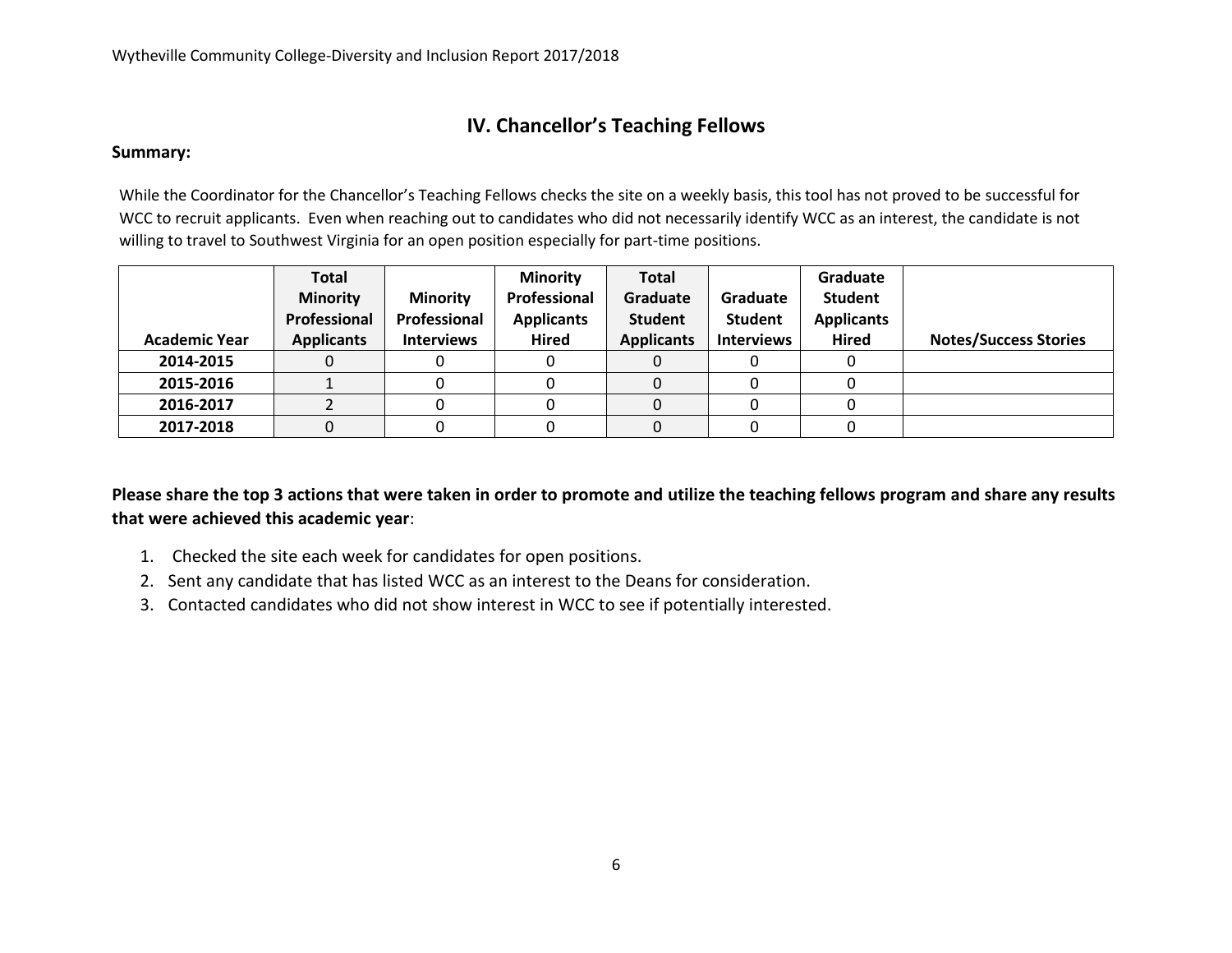# **IV. Chancellor's Teaching Fellows**

#### **Summary:**

While the Coordinator for the Chancellor's Teaching Fellows checks the site on a weekly basis, this tool has not proved to be successful for WCC to recruit applicants. Even when reaching out to candidates who did not necessarily identify WCC as an interest, the candidate is not willing to travel to Southwest Virginia for an open position especially for part-time positions.

| <b>Academic Year</b> | Total<br><b>Minority</b><br>Professional<br><b>Applicants</b> | <b>Minority</b><br>Professional<br><b>Interviews</b> | <b>Minority</b><br>Professional<br><b>Applicants</b><br><b>Hired</b> | <b>Total</b><br>Graduate<br><b>Student</b><br><b>Applicants</b> | Graduate<br><b>Student</b><br><b>Interviews</b> | Graduate<br>Student<br><b>Applicants</b><br>Hired | <b>Notes/Success Stories</b> |
|----------------------|---------------------------------------------------------------|------------------------------------------------------|----------------------------------------------------------------------|-----------------------------------------------------------------|-------------------------------------------------|---------------------------------------------------|------------------------------|
| 2014-2015            |                                                               |                                                      |                                                                      |                                                                 |                                                 |                                                   |                              |
| 2015-2016            |                                                               |                                                      |                                                                      | 0                                                               |                                                 |                                                   |                              |
| 2016-2017            |                                                               |                                                      |                                                                      | 0                                                               |                                                 |                                                   |                              |
| 2017-2018            |                                                               |                                                      |                                                                      |                                                                 |                                                 |                                                   |                              |

**Please share the top 3 actions that were taken in order to promote and utilize the teaching fellows program and share any results that were achieved this academic year**:

- 1. Checked the site each week for candidates for open positions.
- 2. Sent any candidate that has listed WCC as an interest to the Deans for consideration.
- 3. Contacted candidates who did not show interest in WCC to see if potentially interested.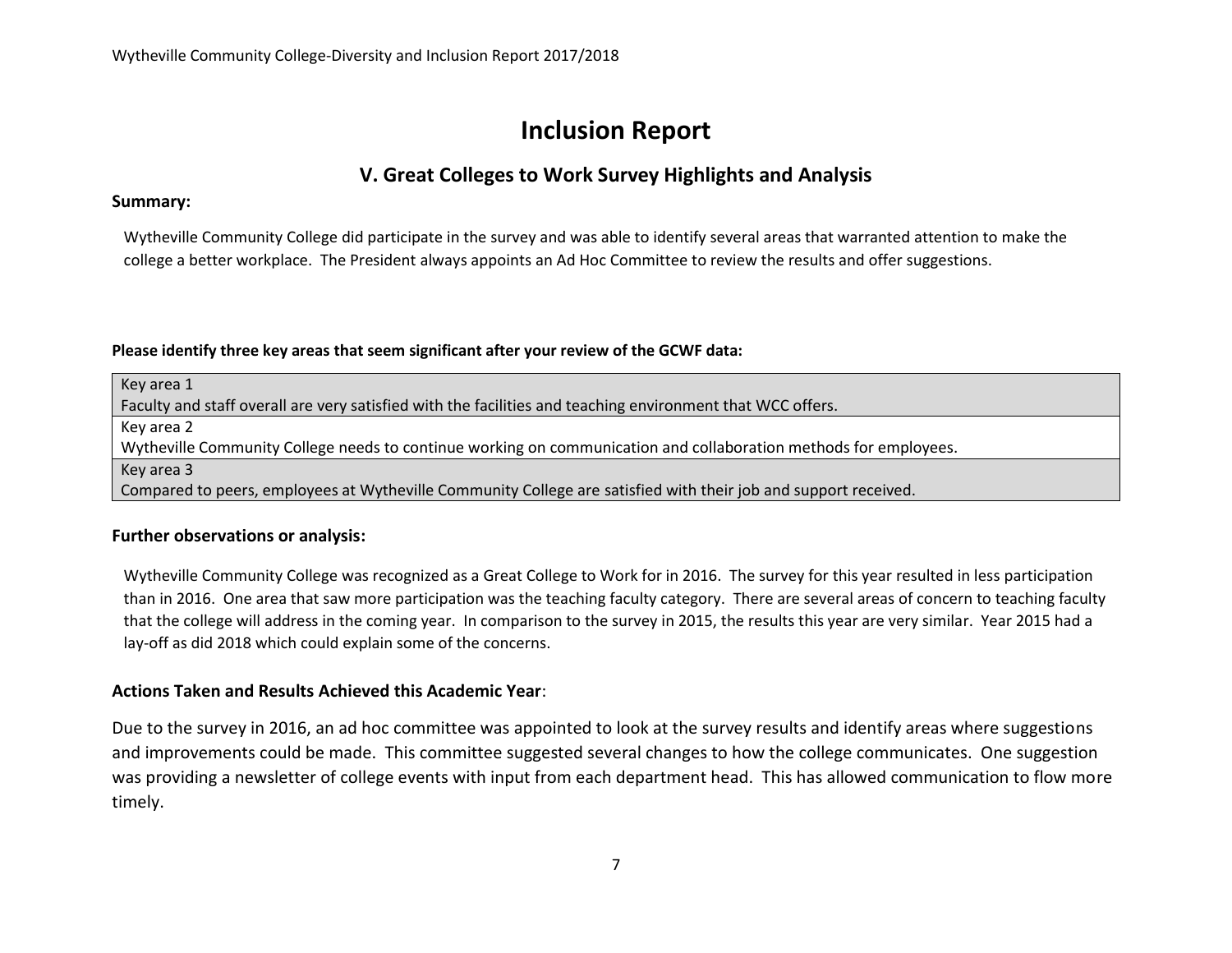# **Inclusion Report**

# **V. Great Colleges to Work Survey Highlights and Analysis**

#### **Summary:**

Wytheville Community College did participate in the survey and was able to identify several areas that warranted attention to make the college a better workplace. The President always appoints an Ad Hoc Committee to review the results and offer suggestions.

#### **Please identify three key areas that seem significant after your review of the GCWF data:**

Key area 1 Faculty and staff overall are very satisfied with the facilities and teaching environment that WCC offers. Key area 2 Wytheville Community College needs to continue working on communication and collaboration methods for employees. Key area 3 Compared to peers, employees at Wytheville Community College are satisfied with their job and support received.

#### **Further observations or analysis:**

Wytheville Community College was recognized as a Great College to Work for in 2016. The survey for this year resulted in less participation than in 2016. One area that saw more participation was the teaching faculty category. There are several areas of concern to teaching faculty that the college will address in the coming year. In comparison to the survey in 2015, the results this year are very similar. Year 2015 had a lay-off as did 2018 which could explain some of the concerns.

#### **Actions Taken and Results Achieved this Academic Year**:

Due to the survey in 2016, an ad hoc committee was appointed to look at the survey results and identify areas where suggestions and improvements could be made. This committee suggested several changes to how the college communicates. One suggestion was providing a newsletter of college events with input from each department head. This has allowed communication to flow more timely.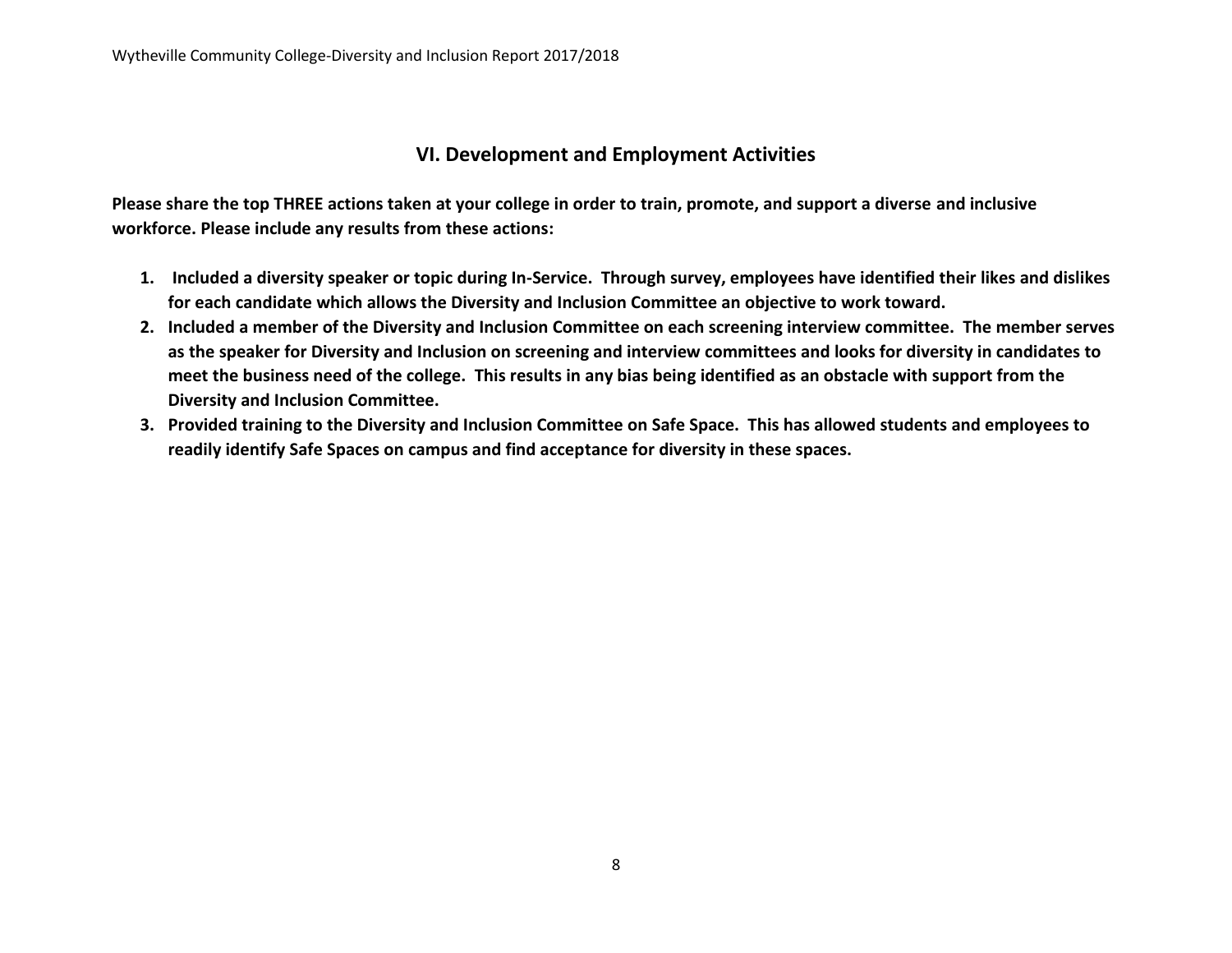### **VI. Development and Employment Activities**

**Please share the top THREE actions taken at your college in order to train, promote, and support a diverse and inclusive workforce. Please include any results from these actions:**

- **1. Included a diversity speaker or topic during In-Service. Through survey, employees have identified their likes and dislikes for each candidate which allows the Diversity and Inclusion Committee an objective to work toward.**
- **2. Included a member of the Diversity and Inclusion Committee on each screening interview committee. The member serves as the speaker for Diversity and Inclusion on screening and interview committees and looks for diversity in candidates to meet the business need of the college. This results in any bias being identified as an obstacle with support from the Diversity and Inclusion Committee.**
- **3. Provided training to the Diversity and Inclusion Committee on Safe Space. This has allowed students and employees to readily identify Safe Spaces on campus and find acceptance for diversity in these spaces.**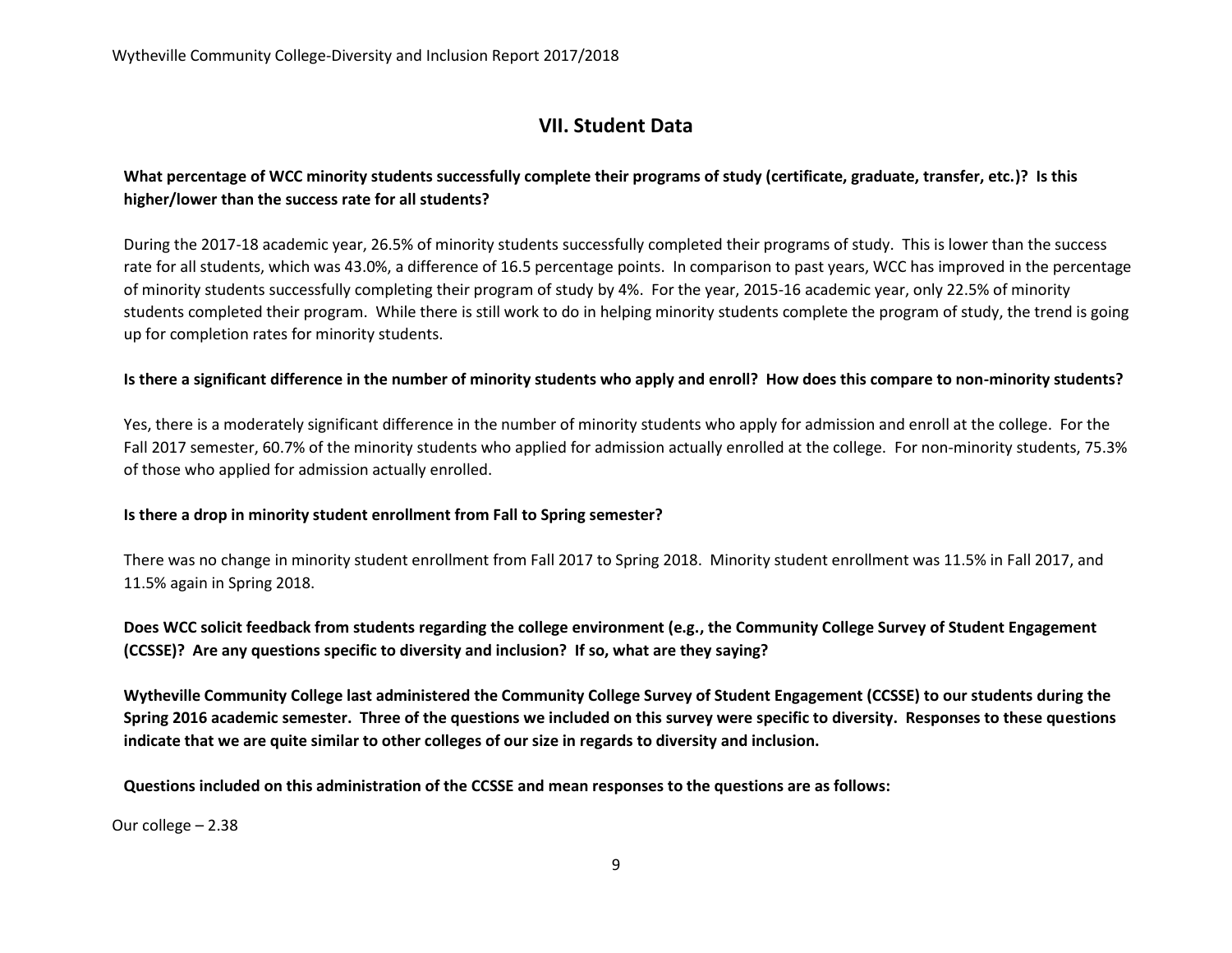# **VII. Student Data**

### **What percentage of WCC minority students successfully complete their programs of study (certificate, graduate, transfer, etc.)? Is this higher/lower than the success rate for all students?**

During the 2017-18 academic year, 26.5% of minority students successfully completed their programs of study. This is lower than the success rate for all students, which was 43.0%, a difference of 16.5 percentage points. In comparison to past years, WCC has improved in the percentage of minority students successfully completing their program of study by 4%. For the year, 2015-16 academic year, only 22.5% of minority students completed their program. While there is still work to do in helping minority students complete the program of study, the trend is going up for completion rates for minority students.

#### **Is there a significant difference in the number of minority students who apply and enroll? How does this compare to non-minority students?**

Yes, there is a moderately significant difference in the number of minority students who apply for admission and enroll at the college. For the Fall 2017 semester, 60.7% of the minority students who applied for admission actually enrolled at the college. For non-minority students, 75.3% of those who applied for admission actually enrolled.

#### **Is there a drop in minority student enrollment from Fall to Spring semester?**

There was no change in minority student enrollment from Fall 2017 to Spring 2018. Minority student enrollment was 11.5% in Fall 2017, and 11.5% again in Spring 2018.

**Does WCC solicit feedback from students regarding the college environment (e.g., the Community College Survey of Student Engagement (CCSSE)? Are any questions specific to diversity and inclusion? If so, what are they saying?**

**Wytheville Community College last administered the Community College Survey of Student Engagement (CCSSE) to our students during the Spring 2016 academic semester. Three of the questions we included on this survey were specific to diversity. Responses to these questions indicate that we are quite similar to other colleges of our size in regards to diversity and inclusion.**

**Questions included on this administration of the CCSSE and mean responses to the questions are as follows:**

Our college – 2.38  $4s.$  Had serious conversations with students of a different race or ethnicity or ethnicity of  $\mathcal{L}$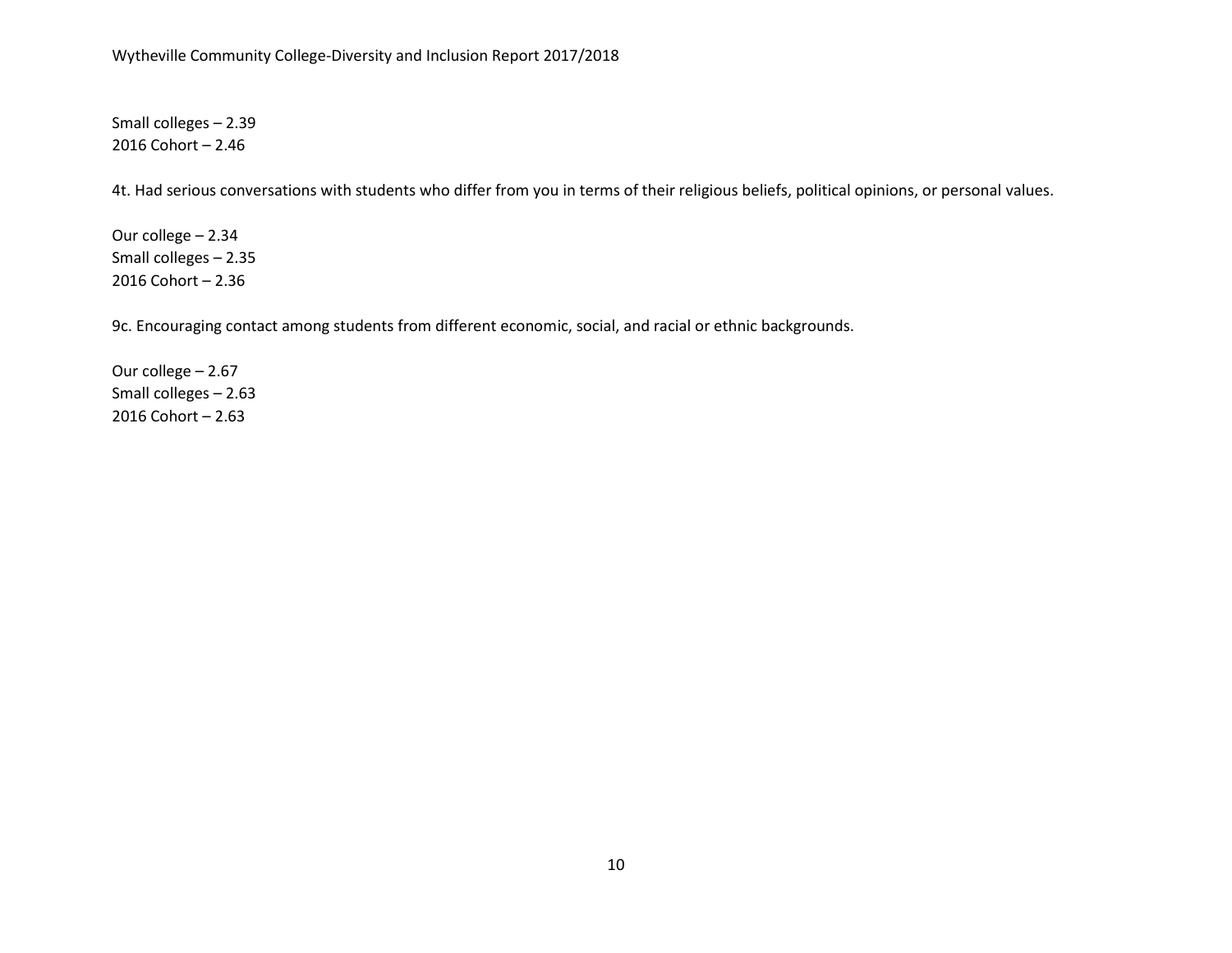Small colleges – 2.39 2016 Cohort – 2.46

4t. Had serious conversations with students who differ from you in terms of their religious beliefs, political opinions, or personal values.

Our college – 2.34 Small colleges – 2.35 2016 Cohort – 2.36

9c. Encouraging contact among students from different economic, social, and racial or ethnic backgrounds.

Our college – 2.67 Small colleges – 2.63 2016 Cohort – 2.63